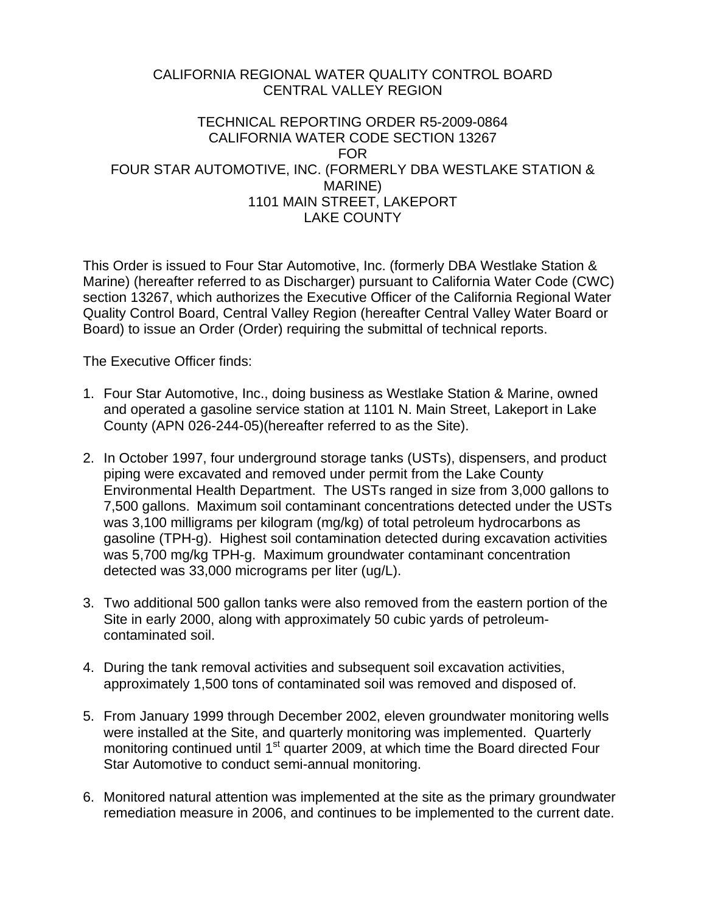## CALIFORNIA REGIONAL WATER QUALITY CONTROL BOARD CENTRAL VALLEY REGION

## TECHNICAL REPORTING ORDER R5-2009-0864 CALIFORNIA WATER CODE SECTION 13267 FOR FOUR STAR AUTOMOTIVE, INC. (FORMERLY DBA WESTLAKE STATION & MARINE) 1101 MAIN STREET, LAKEPORT LAKE COUNTY

This Order is issued to Four Star Automotive, Inc. (formerly DBA Westlake Station & Marine) (hereafter referred to as Discharger) pursuant to California Water Code (CWC) section 13267, which authorizes the Executive Officer of the California Regional Water Quality Control Board, Central Valley Region (hereafter Central Valley Water Board or Board) to issue an Order (Order) requiring the submittal of technical reports.

The Executive Officer finds:

- 1. Four Star Automotive, Inc., doing business as Westlake Station & Marine, owned and operated a gasoline service station at 1101 N. Main Street, Lakeport in Lake County (APN 026-244-05)(hereafter referred to as the Site).
- 2. In October 1997, four underground storage tanks (USTs), dispensers, and product piping were excavated and removed under permit from the Lake County Environmental Health Department. The USTs ranged in size from 3,000 gallons to 7,500 gallons. Maximum soil contaminant concentrations detected under the USTs was 3,100 milligrams per kilogram (mg/kg) of total petroleum hydrocarbons as gasoline (TPH-g). Highest soil contamination detected during excavation activities was 5,700 mg/kg TPH-g. Maximum groundwater contaminant concentration detected was 33,000 micrograms per liter (ug/L).
- 3. Two additional 500 gallon tanks were also removed from the eastern portion of the Site in early 2000, along with approximately 50 cubic yards of petroleumcontaminated soil.
- 4. During the tank removal activities and subsequent soil excavation activities, approximately 1,500 tons of contaminated soil was removed and disposed of.
- 5. From January 1999 through December 2002, eleven groundwater monitoring wells were installed at the Site, and quarterly monitoring was implemented. Quarterly monitoring continued until 1<sup>st</sup> quarter 2009, at which time the Board directed Four Star Automotive to conduct semi-annual monitoring.
- 6. Monitored natural attention was implemented at the site as the primary groundwater remediation measure in 2006, and continues to be implemented to the current date.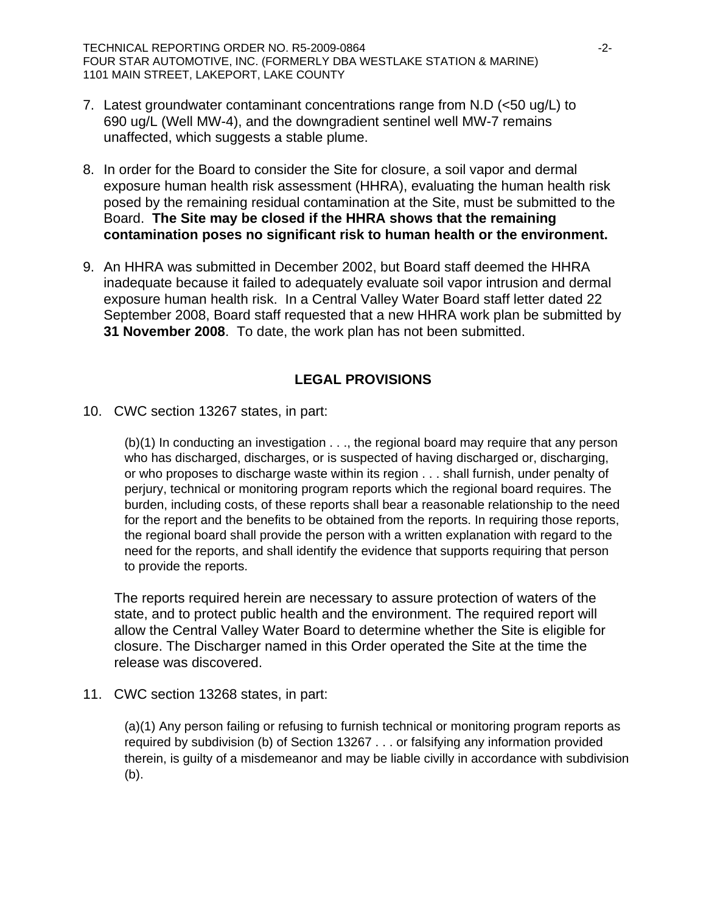TECHNICAL REPORTING ORDER NO. R5-2009-0864  $-2$ -FOUR STAR AUTOMOTIVE, INC. (FORMERLY DBA WESTLAKE STATION & MARINE) 1101 MAIN STREET, LAKEPORT, LAKE COUNTY

- 7. Latest groundwater contaminant concentrations range from N.D (<50 ug/L) to 690 ug/L (Well MW-4), and the downgradient sentinel well MW-7 remains unaffected, which suggests a stable plume.
- 8. In order for the Board to consider the Site for closure, a soil vapor and dermal exposure human health risk assessment (HHRA), evaluating the human health risk posed by the remaining residual contamination at the Site, must be submitted to the Board. **The Site may be closed if the HHRA shows that the remaining contamination poses no significant risk to human health or the environment.**
- 9. An HHRA was submitted in December 2002, but Board staff deemed the HHRA inadequate because it failed to adequately evaluate soil vapor intrusion and dermal exposure human health risk. In a Central Valley Water Board staff letter dated 22 September 2008, Board staff requested that a new HHRA work plan be submitted by **31 November 2008**. To date, the work plan has not been submitted.

## **LEGAL PROVISIONS**

10. CWC section 13267 states, in part:

(b)(1) In conducting an investigation . . ., the regional board may require that any person who has discharged, discharges, or is suspected of having discharged or, discharging, or who proposes to discharge waste within its region . . . shall furnish, under penalty of perjury, technical or monitoring program reports which the regional board requires. The burden, including costs, of these reports shall bear a reasonable relationship to the need for the report and the benefits to be obtained from the reports. In requiring those reports, the regional board shall provide the person with a written explanation with regard to the need for the reports, and shall identify the evidence that supports requiring that person to provide the reports.

The reports required herein are necessary to assure protection of waters of the state, and to protect public health and the environment. The required report will allow the Central Valley Water Board to determine whether the Site is eligible for closure. The Discharger named in this Order operated the Site at the time the release was discovered.

11. CWC section 13268 states, in part:

(a)(1) Any person failing or refusing to furnish technical or monitoring program reports as required by subdivision (b) of Section 13267 . . . or falsifying any information provided therein, is guilty of a misdemeanor and may be liable civilly in accordance with subdivision (b).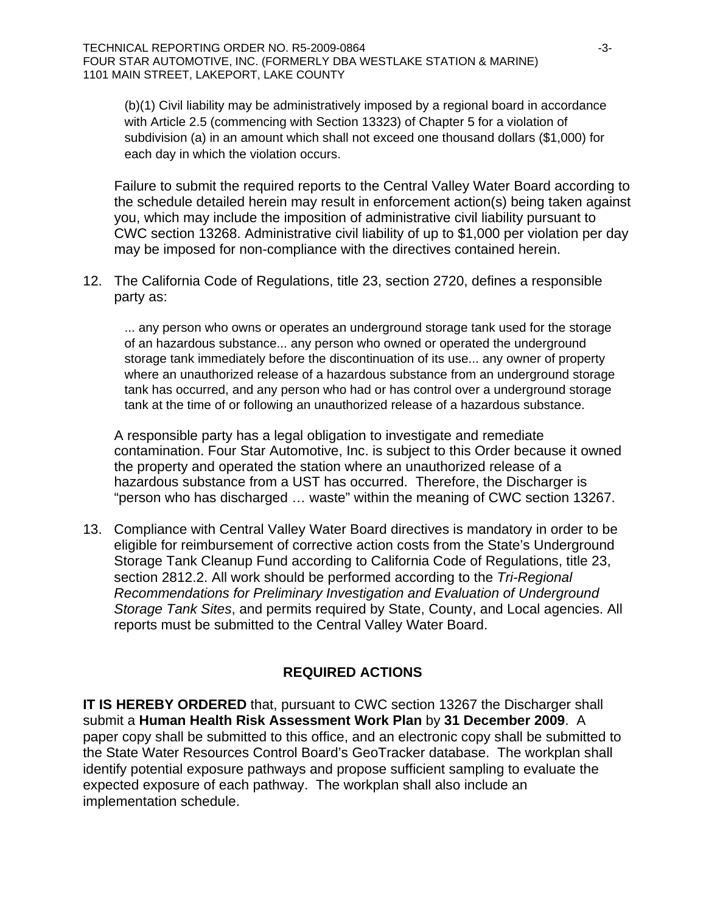(b)(1) Civil liability may be administratively imposed by a regional board in accordance with Article 2.5 (commencing with Section 13323) of Chapter 5 for a violation of subdivision (a) in an amount which shall not exceed one thousand dollars (\$1,000) for each day in which the violation occurs.

Failure to submit the required reports to the Central Valley Water Board according to the schedule detailed herein may result in enforcement action(s) being taken against you, which may include the imposition of administrative civil liability pursuant to CWC section 13268. Administrative civil liability of up to \$1,000 per violation per day may be imposed for non-compliance with the directives contained herein.

12. The California Code of Regulations, title 23, section 2720, defines a responsible party as:

... any person who owns or operates an underground storage tank used for the storage of an hazardous substance... any person who owned or operated the underground storage tank immediately before the discontinuation of its use... any owner of property where an unauthorized release of a hazardous substance from an underground storage tank has occurred, and any person who had or has control over a underground storage tank at the time of or following an unauthorized release of a hazardous substance.

A responsible party has a legal obligation to investigate and remediate contamination. Four Star Automotive, Inc. is subject to this Order because it owned the property and operated the station where an unauthorized release of a hazardous substance from a UST has occurred. Therefore, the Discharger is "person who has discharged … waste" within the meaning of CWC section 13267.

13. Compliance with Central Valley Water Board directives is mandatory in order to be eligible for reimbursement of corrective action costs from the State's Underground Storage Tank Cleanup Fund according to California Code of Regulations, title 23, section 2812.2. All work should be performed according to the *Tri-Regional Recommendations for Preliminary Investigation and Evaluation of Underground Storage Tank Sites*, and permits required by State, County, and Local agencies. All reports must be submitted to the Central Valley Water Board.

## **REQUIRED ACTIONS**

**IT IS HEREBY ORDERED** that, pursuant to CWC section 13267 the Discharger shall submit a **Human Health Risk Assessment Work Plan** by **31 December 2009**. A paper copy shall be submitted to this office, and an electronic copy shall be submitted to the State Water Resources Control Board's GeoTracker database. The workplan shall identify potential exposure pathways and propose sufficient sampling to evaluate the expected exposure of each pathway. The workplan shall also include an implementation schedule.